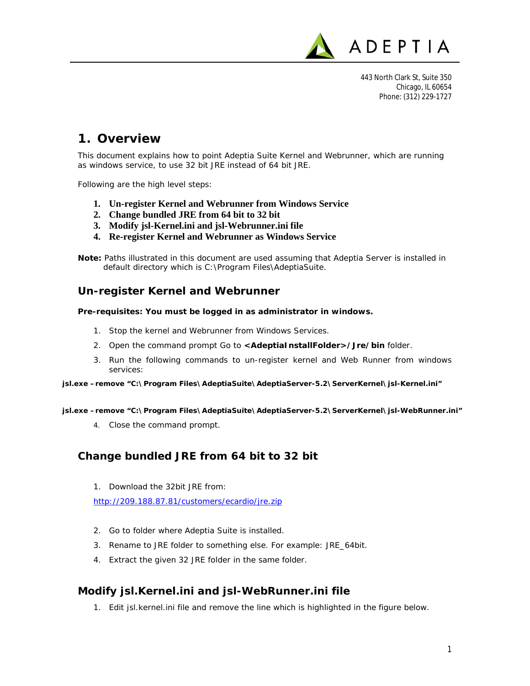

443 North Clark St, Suite 350 Chicago, IL 60654 Phone: (312) 229-1727

## **1. Overview**

This document explains how to point Adeptia Suite Kernel and Webrunner, which are running as windows service, to use 32 bit JRE instead of 64 bit JRE.

Following are the high level steps:

- **1. Un-register Kernel and Webrunner from Windows Service**
- **2. Change bundled JRE from 64 bit to 32 bit**
- **3. Modify jsl-Kernel.ini and jsl-Webrunner.ini file**
- **4. Re-register Kernel and Webrunner as Windows Service**

**Note:** Paths illustrated in this document are used assuming that Adeptia Server is installed in default directory which is *C:\Program Files\AdeptiaSuite.* 

## **Un-register Kernel and Webrunner**

**Pre-requisites: You must be logged in as administrator in windows.**

- 1. Stop the kernel and Webrunner from Windows Services.
- 2. Open the command prompt Go to *<AdeptiaInstallFolder>/Jre/bin* folder.
- 3. Run the following commands to un-register kernel and Web Runner from windows services:

**jsl.exe –remove "C:\Program Files\AdeptiaSuite\AdeptiaServer-5.2\ServerKernel\jsl-Kernel.ini"**

**jsl.exe –remove "C:\Program Files\AdeptiaSuite\AdeptiaServer-5.2\ServerKernel\jsl-WebRunner.ini"**

4. Close the command prompt.

## **Change bundled JRE from 64 bit to 32 bit**

1. Download the 32bit JRE from:

http://209.188.87.81/customers/ecardio/jre.zip

- 2. Go to folder where Adeptia Suite is installed.
- 3. Rename to JRE folder to something else. For example: JRE\_64bit.
- 4. Extract the given 32 JRE folder in the same folder.

## **Modify jsl.Kernel.ini and jsl-WebRunner.ini file**

1. Edit *jsl.kernel.ini* file and remove the line which is highlighted in the figure below.